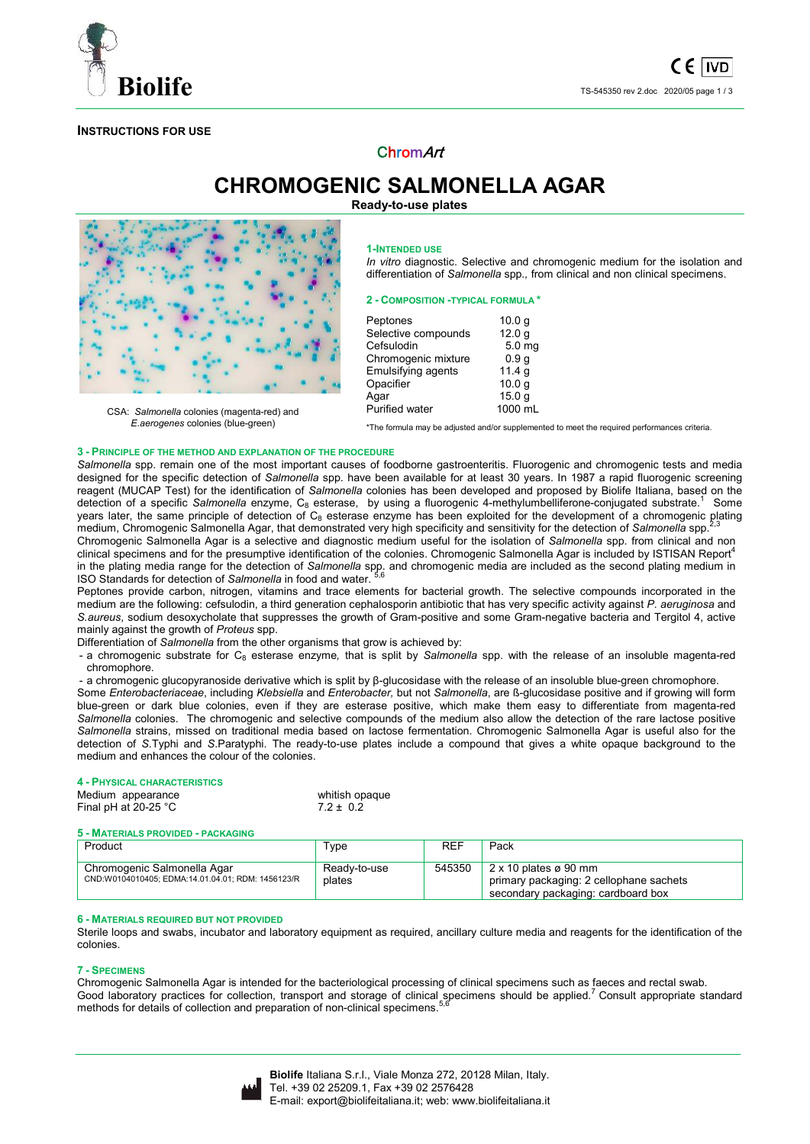

## **INSTRUCTIONS FOR USE**

# ChromArt

**CHROMOGENIC SALMONELLA AGAR Ready-to-use plates** 



CSA: *Salmonella* colonies (magenta-red) and *E.aerogenes* colonies (blue-green)

**1-INTENDED USE**

*In vitro* diagnostic. Selective and chromogenic medium for the isolation and differentiation of *Salmonella* spp*.,* from clinical and non clinical specimens.

#### **2 - COMPOSITION -TYPICAL FORMULA \***

| Peptones            | 10.0 g            |
|---------------------|-------------------|
| Selective compounds | 12.0 <sub>g</sub> |
| Cefsulodin          | 5.0 <sub>mg</sub> |
| Chromogenic mixture | 0.9 <sub>g</sub>  |
| Emulsifying agents  | 11.4 g            |
| Opacifier           | 10.0 <sub>g</sub> |
| Agar                | 15.0 <sub>g</sub> |
| Purified water      | 1000 mL           |

\*The formula may be adjusted and/or supplemented to meet the required performances criteria.

## **3 - PRINCIPLE OF THE METHOD AND EXPLANATION OF THE PROCEDURE**

Salmonella spp. remain one of the most important causes of foodborne gastroenteritis. Fluorogenic and chromogenic tests and media designed for the specific detection of *Salmonella* spp. have been available for at least 30 years. In 1987 a rapid fluorogenic screening reagent (MUCAP Test) for the identification of *Salmonella* colonies has been developed and proposed by Biolife Italiana, based on the detection of a specific *Salmonella* enzyme, C<sub>8</sub> esterase, by using a fluorogenic 4-methylumbelliferone-conjugated substrate.<sup>1</sup> Some years later, the same principle of detection of C<sub>8</sub> esterase enzyme has been exploited for the development of a chromogenic plating medium, Chromogenic Salmonella Agar, that demonstrated very high specificity and sensitivity for the detection of *Salmonella* spp.2,3 Chromogenic Salmonella Agar is a selective and diagnostic medium useful for the isolation of *Salmonella* spp. from clinical and non clinical specimens and for the presumptive identification of the colonies. Chromogenic Salmonella Agar is included by ISTISAN Report<sup>4</sup> in the plating media range for the detection of *Salmonella* spp. and chromogenic media are included as the second plating medium in ISO Standards for detection of *Salmonella* in food and water.

Peptones provide carbon, nitrogen, vitamins and trace elements for bacterial growth. The selective compounds incorporated in the medium are the following: cefsulodin, a third generation cephalosporin antibiotic that has very specific activity against *P. aeruginosa* and *S.aureus*, sodium desoxycholate that suppresses the growth of Gram-positive and some Gram-negative bacteria and Tergitol 4, active mainly against the growth of *Proteus* spp.

Differentiation of *Salmonella* from the other organisms that grow is achieved by:

- a chromogenic substrate for C8 esterase enzyme*,* that is split by *Salmonella* spp. with the release of an insoluble magenta-red chromophore.

- a chromogenic glucopyranoside derivative which is split by β-glucosidase with the release of an insoluble blue-green chromophore.

Some *Enterobacteriaceae*, including *Klebsiella* and *Enterobacter,* but not *Salmonella*, are ß-glucosidase positive and if growing will form blue-green or dark blue colonies, even if they are esterase positive, which make them easy to differentiate from magenta-red *Salmonella* colonies. The chromogenic and selective compounds of the medium also allow the detection of the rare lactose positive *Salmonella* strains, missed on traditional media based on lactose fermentation. Chromogenic Salmonella Agar is useful also for the detection of *S*.Typhi and *S*.Paratyphi. The ready-to-use plates include a compound that gives a white opaque background to the medium and enhances the colour of the colonies.

## **4 - PHYSICAL CHARACTERISTICS**

Medium appearance whitish opaque<br>Final pH at  $20-25 °C$  7.2 ± 0.2 Final pH at  $20-25$   $^{\circ}$ C

#### **5 - MATERIALS PROVIDED - PACKAGING**

| Product                                                                          | Type                   | REF    | Pack                                                                                                          |
|----------------------------------------------------------------------------------|------------------------|--------|---------------------------------------------------------------------------------------------------------------|
| Chromogenic Salmonella Agar<br>CND:W0104010405: EDMA:14.01.04.01: RDM: 1456123/R | Readv-to-use<br>plates | 545350 | $2 \times 10$ plates ø 90 mm<br>primary packaging: 2 cellophane sachets<br>secondary packaging: cardboard box |

#### **6 - MATERIALS REQUIRED BUT NOT PROVIDED**

Sterile loops and swabs, incubator and laboratory equipment as required, ancillary culture media and reagents for the identification of the colonies.

#### **7 - SPECIMENS**

Chromogenic Salmonella Agar is intended for the bacteriological processing of clinical specimens such as faeces and rectal swab. Good laboratory practices for collection, transport and storage of clinical specimens should be applied.<sup>7</sup> Consult appropriate standard methods for details of collection and preparation of non-clinical specimens.<sup>5,6</sup>

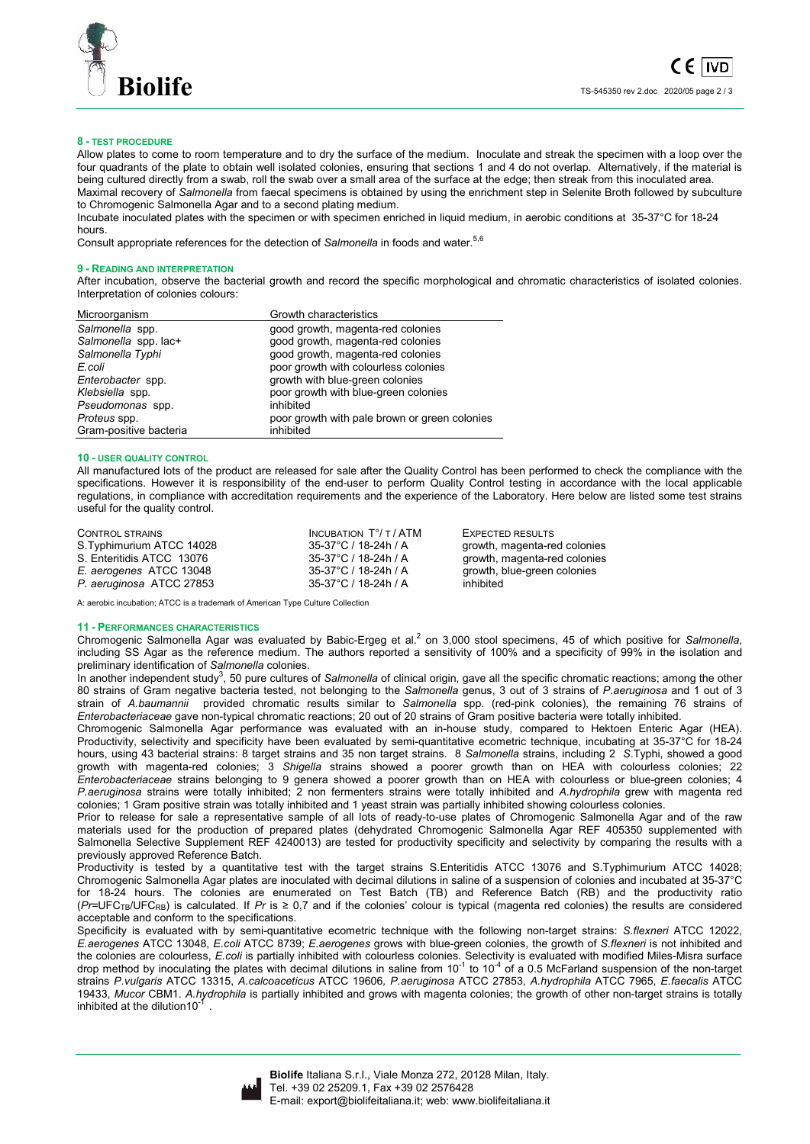

## **8 - TEST PROCEDURE**

Allow plates to come to room temperature and to dry the surface of the medium. Inoculate and streak the specimen with a loop over the four quadrants of the plate to obtain well isolated colonies, ensuring that sections 1 and 4 do not overlap. Alternatively, if the material is being cultured directly from a swab, roll the swab over a small area of the surface at the edge; then streak from this inoculated area. Maximal recovery of *Salmonella* from faecal specimens is obtained by using the enrichment step in Selenite Broth followed by subculture to Chromogenic Salmonella Agar and to a second plating medium.

Incubate inoculated plates with the specimen or with specimen enriched in liquid medium, in aerobic conditions at 35-37°C for 18-24 hours.

Consult appropriate references for the detection of *Salmonella* in foods and water.<sup>5,6</sup>

#### **9 - READING AND INTERPRETATION**

After incubation, observe the bacterial growth and record the specific morphological and chromatic characteristics of isolated colonies. Interpretation of colonies colours:

| Microorganism          | Growth characteristics                        |
|------------------------|-----------------------------------------------|
| Salmonella spp.        | good growth, magenta-red colonies             |
| Salmonella spp. lac+   | good growth, magenta-red colonies             |
| Salmonella Typhi       | good growth, magenta-red colonies             |
| E.coli                 | poor growth with colourless colonies          |
| Enterobacter spp.      | growth with blue-green colonies               |
| Klebsiella spp.        | poor growth with blue-green colonies          |
| Pseudomonas spp.       | inhibited                                     |
| Proteus spp.           | poor growth with pale brown or green colonies |
| Gram-positive bacteria | inhibited                                     |

## **10 - USER QUALITY CONTROL**

All manufactured lots of the product are released for sale after the Quality Control has been performed to check the compliance with the specifications. However it is responsibility of the end-user to perform Quality Control testing in accordance with the local applicable regulations, in compliance with accreditation requirements and the experience of the Laboratory. Here below are listed some test strains useful for the quality control.

| CONTROL STRAINS           | INCUBATION $T^{\circ}/T$ / ATM | EXPECTED RESULTS             |
|---------------------------|--------------------------------|------------------------------|
| S. Typhimurium ATCC 14028 | 35-37°C / 18-24h / A           | growth, magenta-red colonies |
| S. Enteritidis ATCC 13076 | 35-37°C / 18-24h / A           | growth, magenta-red colonies |
| E. aerogenes ATCC 13048   | 35-37°C / 18-24h / A           | growth, blue-green colonies  |
| P. aeruginosa ATCC 27853  | 35-37°C / 18-24h / A           | inhibited                    |

A: aerobic incubation; ATCC is a trademark of American Type Culture Collection

#### **11 - PERFORMANCES CHARACTERISTICS**

Chromogenic Salmonella Agar was evaluated by Babic-Ergeg et al.<sup>2</sup> on 3,000 stool specimens, 45 of which positive for Salmonella, including SS Agar as the reference medium. The authors reported a sensitivity of 100% and a specificity of 99% in the isolation and

preliminary identification of *Salmonella* colonies.<br>In another independent study<sup>3</sup>, 50 pure cultures of *Salmonella* of clinical origin, gave all the specific chromatic reactions; among the other 80 strains of Gram negative bacteria tested, not belonging to the *Salmonella* genus, 3 out of 3 strains of *P.aeruginosa* and 1 out of 3 strain of *A.baumannii* provided chromatic results similar to *Salmonella* spp. (red-pink colonies), the remaining 76 strains of *Enterobacteriaceae* gave non-typical chromatic reactions; 20 out of 20 strains of Gram positive bacteria were totally inhibited.

Chromogenic Salmonella Agar performance was evaluated with an in-house study, compared to Hektoen Enteric Agar (HEA). Productivity, selectivity and specificity have been evaluated by semi-quantitative ecometric technique, incubating at 35-37°C for 18-24 hours, using 43 bacterial strains: 8 target strains and 35 non target strains. 8 *Salmonella* strains, including 2 *S*.Typhi, showed a good growth with magenta-red colonies; 3 *Shigella* strains showed a poorer growth than on HEA with colourless colonies; 22 *Enterobacteriaceae* strains belonging to 9 genera showed a poorer growth than on HEA with colourless or blue-green colonies; 4 *P.aeruginosa* strains were totally inhibited; 2 non fermenters strains were totally inhibited and *A.hydrophila* grew with magenta red colonies; 1 Gram positive strain was totally inhibited and 1 yeast strain was partially inhibited showing colourless colonies.

Prior to release for sale a representative sample of all lots of ready-to-use plates of Chromogenic Salmonella Agar and of the raw materials used for the production of prepared plates (dehydrated Chromogenic Salmonella Agar REF 405350 supplemented with Salmonella Selective Supplement REF 4240013) are tested for productivity specificity and selectivity by comparing the results with a previously approved Reference Batch.

Productivity is tested by a quantitative test with the target strains S.Enteritidis ATCC 13076 and S.Typhimurium ATCC 14028; Chromogenic Salmonella Agar plates are inoculated with decimal dilutions in saline of a suspension of colonies and incubated at 35-37°C for 18-24 hours. The colonies are enumerated on Test Batch (TB) and Reference Batch (RB) and the productivity ratio (*Pr=*UFCTB/UFCRB) is calculated. If *Pr* is ≥ 0,7 and if the colonies' colour is typical (magenta red colonies) the results are considered acceptable and conform to the specifications.

Specificity is evaluated with by semi-quantitative ecometric technique with the following non-target strains: *S.flexneri* ATCC 12022, *E.aerogenes* ATCC 13048, *E.coli* ATCC 8739; *E.aerogenes* grows with blue-green colonies, the growth of *S.flexneri* is not inhibited and the colonies are colourless, *E.coli* is partially inhibited with colourless colonies. Selectivity is evaluated with modified Miles-Misra surface<br>drop method by inoculating the plates with decimal dilutions in saline from strains *P.vulgaris* ATCC 13315, *A.calcoaceticus* ATCC 19606*, P.aeruginosa* ATCC 27853, *A.hydrophila* ATCC 7965, *E.faecalis* ATCC 19433, *Mucor* CBM1. *A.hydrophila* is partially inhibited and grows with magenta colonies; the growth of other non-target strains is totally inhibited at the dilution10<sup>-1</sup> .